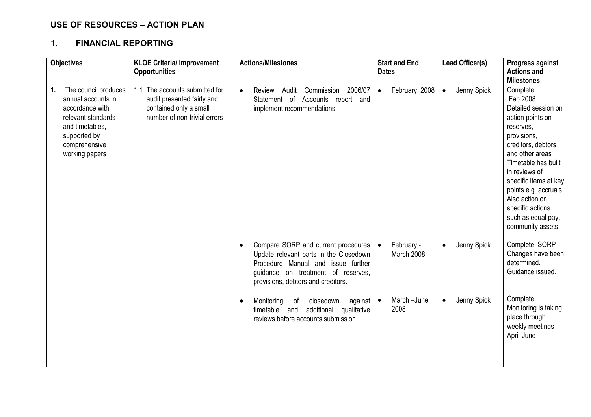## USE OF RESOURCES – ACTION PLAN

### 1. FINANCIAL REPORTING

| <b>Objectives</b>                                                                                                                                               | <b>KLOE Criteria/ Improvement</b>                                                                                       | <b>Actions/Milestones</b>                                                                                                                                                                                    | <b>Start and End</b>       | Lead Officer(s)          | Progress against                                                                                                                                                                                                                                                                                               |
|-----------------------------------------------------------------------------------------------------------------------------------------------------------------|-------------------------------------------------------------------------------------------------------------------------|--------------------------------------------------------------------------------------------------------------------------------------------------------------------------------------------------------------|----------------------------|--------------------------|----------------------------------------------------------------------------------------------------------------------------------------------------------------------------------------------------------------------------------------------------------------------------------------------------------------|
|                                                                                                                                                                 | <b>Opportunities</b>                                                                                                    |                                                                                                                                                                                                              | <b>Dates</b>               |                          | <b>Actions and</b><br><b>Milestones</b>                                                                                                                                                                                                                                                                        |
| The council produces<br>1.<br>annual accounts in<br>accordance with<br>relevant standards<br>and timetables,<br>supported by<br>comprehensive<br>working papers | 1.1. The accounts submitted for<br>audit presented fairly and<br>contained only a small<br>number of non-trivial errors | 2006/07<br>Review<br>Audit<br>Commission<br>$\bullet$<br>Statement of<br>Accounts report and<br>implement recommendations.                                                                                   | February 2008<br>$\bullet$ | Jenny Spick<br>$\bullet$ | Complete<br>Feb 2008.<br>Detailed session on<br>action points on<br>reserves,<br>provisions,<br>creditors, debtors<br>and other areas<br>Timetable has built<br>in reviews of<br>specific items at key<br>points e.g. accruals<br>Also action on<br>specific actions<br>such as equal pay,<br>community assets |
|                                                                                                                                                                 |                                                                                                                         | Compare SORP and current procedures<br>$\bullet$<br>Update relevant parts in the Closedown<br>Procedure Manual and issue further<br>guidance on treatment of reserves,<br>provisions, debtors and creditors. | February -<br>March 2008   | Jenny Spick<br>$\bullet$ | Complete. SORP<br>Changes have been<br>determined.<br>Guidance issued.                                                                                                                                                                                                                                         |
|                                                                                                                                                                 |                                                                                                                         | Monitoring<br>closedown<br>against $\bullet$<br>οf<br>$\bullet$<br>additional<br>timetable and<br>qualitative<br>reviews before accounts submission.                                                         | March-June<br>2008         | Jenny Spick<br>$\bullet$ | Complete:<br>Monitoring is taking<br>place through<br>weekly meetings<br>April-June                                                                                                                                                                                                                            |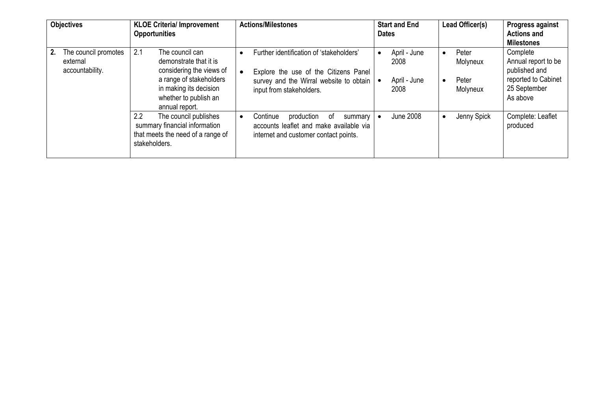|    | <b>Objectives</b>                                   | <b>KLOE Criteria/ Improvement</b><br><b>Opportunities</b>                                                                                                                    | <b>Actions/Milestones</b>                                                                                                                                            | <b>Start and End</b><br><b>Dates</b>         | Lead Officer(s)                                     | <b>Progress against</b><br><b>Actions and</b><br><b>Milestones</b>                                  |
|----|-----------------------------------------------------|------------------------------------------------------------------------------------------------------------------------------------------------------------------------------|----------------------------------------------------------------------------------------------------------------------------------------------------------------------|----------------------------------------------|-----------------------------------------------------|-----------------------------------------------------------------------------------------------------|
| 2. | The council promotes<br>external<br>accountability. | 2.1<br>The council can<br>demonstrate that it is<br>considering the views of<br>a range of stakeholders<br>in making its decision<br>whether to publish an<br>annual report. | Further identification of 'stakeholders'<br>Explore the use of the Citizens Panel<br>survey and the Wirral website to obtain   $\bullet$<br>input from stakeholders. | April - June<br>2008<br>April - June<br>2008 | Peter<br>$\bullet$<br>Molyneux<br>Peter<br>Molyneux | Complete<br>Annual report to be<br>published and<br>reported to Cabinet<br>25 September<br>As above |
|    |                                                     | 2.2<br>The council publishes<br>summary financial information<br>that meets the need of a range of<br>stakeholders.                                                          | Continue<br>production<br>of<br>summary<br>accounts leaflet and make available via<br>internet and customer contact points.                                          | <b>June 2008</b>                             | Jenny Spick                                         | Complete: Leaflet<br>produced                                                                       |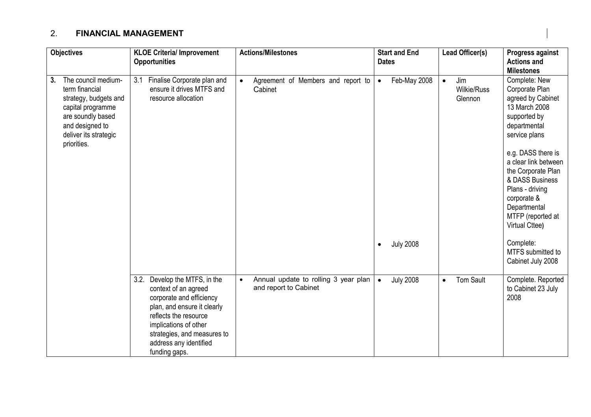## 2. FINANCIAL MANAGEMENT

| <b>Objectives</b>                                                                                                                                                         | <b>KLOE Criteria/ Improvement</b><br><b>Opportunities</b>                                                                                                                                                                                       | <b>Actions/Milestones</b>                                                  | <b>Start and End</b><br><b>Dates</b> | Lead Officer(s)                            | Progress against<br><b>Actions and</b>                                                                                                                                       |
|---------------------------------------------------------------------------------------------------------------------------------------------------------------------------|-------------------------------------------------------------------------------------------------------------------------------------------------------------------------------------------------------------------------------------------------|----------------------------------------------------------------------------|--------------------------------------|--------------------------------------------|------------------------------------------------------------------------------------------------------------------------------------------------------------------------------|
|                                                                                                                                                                           |                                                                                                                                                                                                                                                 |                                                                            |                                      |                                            | <b>Milestones</b>                                                                                                                                                            |
| The council medium-<br>3.<br>term financial<br>strategy, budgets and<br>capital programme<br>are soundly based<br>and designed to<br>deliver its strategic<br>priorities. | 3.1<br>Finalise Corporate plan and<br>ensure it drives MTFS and<br>resource allocation                                                                                                                                                          | Agreement of Members and report to<br>$\bullet$<br>Cabinet                 | Feb-May 2008<br>$\bullet$            | Jim<br>$\bullet$<br>Wilkie/Russ<br>Glennon | Complete: New<br>Corporate Plan<br>agreed by Cabinet<br>13 March 2008<br>supported by<br>departmental<br>service plans                                                       |
|                                                                                                                                                                           |                                                                                                                                                                                                                                                 |                                                                            |                                      |                                            | e.g. DASS there is<br>a clear link between<br>the Corporate Plan<br>& DASS Business<br>Plans - driving<br>corporate &<br>Departmental<br>MTFP (reported at<br>Virtual Cttee) |
|                                                                                                                                                                           |                                                                                                                                                                                                                                                 |                                                                            | <b>July 2008</b><br>$\bullet$        |                                            | Complete:<br>MTFS submitted to<br>Cabinet July 2008                                                                                                                          |
|                                                                                                                                                                           | 3.2.<br>Develop the MTFS, in the<br>context of an agreed<br>corporate and efficiency<br>plan, and ensure it clearly<br>reflects the resource<br>implications of other<br>strategies, and measures to<br>address any identified<br>funding gaps. | Annual update to rolling 3 year plan<br>$\bullet$<br>and report to Cabinet | <b>July 2008</b><br>$\bullet$        | <b>Tom Sault</b><br>$\bullet$              | Complete. Reported<br>to Cabinet 23 July<br>2008                                                                                                                             |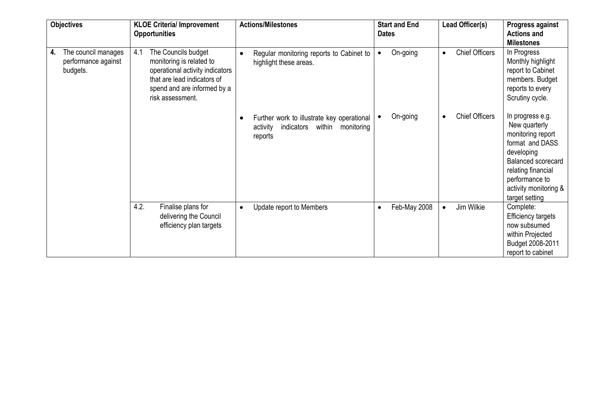|    | <b>Objectives</b>                                      |      | <b>KLOE Criteria/ Improvement</b><br><b>Opportunities</b>                                                                                                            |           | <b>Actions/Milestones</b>                                                                               |           | <b>Start and End</b><br><b>Dates</b> |           | Lead Officer(s)       | Progress against<br><b>Actions and</b><br><b>Milestones</b>                                                                                                                                      |
|----|--------------------------------------------------------|------|----------------------------------------------------------------------------------------------------------------------------------------------------------------------|-----------|---------------------------------------------------------------------------------------------------------|-----------|--------------------------------------|-----------|-----------------------|--------------------------------------------------------------------------------------------------------------------------------------------------------------------------------------------------|
| 4. | The council manages<br>performance against<br>budgets. | 4.1  | The Councils budget<br>monitoring is related to<br>operational activity indicators<br>that are lead indicators of<br>spend and are informed by a<br>risk assessment. |           | Regular monitoring reports to Cabinet to<br>highlight these areas.                                      | $\bullet$ | On-going                             | $\bullet$ | <b>Chief Officers</b> | In Progress<br>Monthly highlight<br>report to Cabinet<br>members. Budget<br>reports to every<br>Scrutiny cycle.                                                                                  |
|    |                                                        |      |                                                                                                                                                                      |           | Further work to illustrate key operational<br>indicators<br>within<br>activity<br>monitoring<br>reports |           | On-going                             | $\bullet$ | <b>Chief Officers</b> | In progress e.g.<br>New quarterly<br>monitoring report<br>format and DASS<br>developing<br>Balanced scorecard<br>relating financial<br>performance to<br>activity monitoring &<br>target setting |
|    |                                                        | 4.2. | Finalise plans for<br>delivering the Council<br>efficiency plan targets                                                                                              | $\bullet$ | Update report to Members                                                                                | $\bullet$ | Feb-May 2008                         |           | Jim Wilkie            | Complete:<br><b>Efficiency targets</b><br>now subsumed<br>within Projected<br>Budget 2008-2011<br>report to cabinet                                                                              |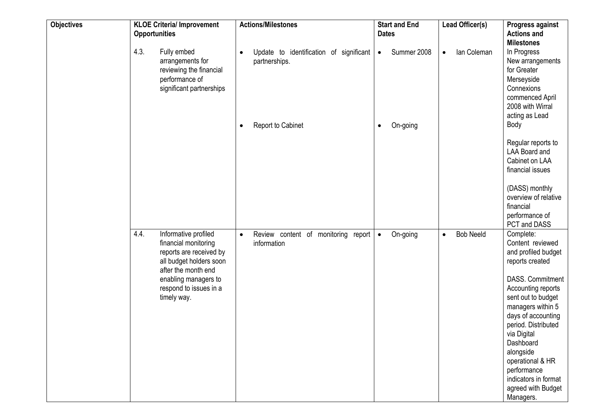| <b>Objectives</b> | <b>Opportunities</b> | <b>KLOE Criteria/ Improvement</b>                                                                                                                                                          |           | <b>Actions/Milestones</b>                                | <b>Dates</b> | <b>Start and End</b> |           | Lead Officer(s)  | Progress against<br><b>Actions and</b><br><b>Milestones</b>                                                                                                                                                                                                                                                                                      |
|-------------------|----------------------|--------------------------------------------------------------------------------------------------------------------------------------------------------------------------------------------|-----------|----------------------------------------------------------|--------------|----------------------|-----------|------------------|--------------------------------------------------------------------------------------------------------------------------------------------------------------------------------------------------------------------------------------------------------------------------------------------------------------------------------------------------|
|                   | 4.3.                 | Fully embed<br>arrangements for<br>reviewing the financial<br>performance of<br>significant partnerships                                                                                   |           | Update to identification of significant<br>partnerships. | $\bullet$    | Summer 2008          | $\bullet$ | lan Coleman      | In Progress<br>New arrangements<br>for Greater<br>Merseyside<br>Connexions<br>commenced April<br>2008 with Wirral<br>acting as Lead                                                                                                                                                                                                              |
|                   |                      |                                                                                                                                                                                            |           | Report to Cabinet                                        |              | On-going             |           |                  | Body<br>Regular reports to<br><b>LAA Board and</b><br>Cabinet on LAA<br>financial issues<br>(DASS) monthly<br>overview of relative<br>financial<br>performance of<br>PCT and DASS                                                                                                                                                                |
|                   | 4.4.                 | Informative profiled<br>financial monitoring<br>reports are received by<br>all budget holders soon<br>after the month end<br>enabling managers to<br>respond to issues in a<br>timely way. | $\bullet$ | Review content of monitoring report<br>information       | $\bullet$    | On-going             | $\bullet$ | <b>Bob Neeld</b> | Complete:<br>Content reviewed<br>and profiled budget<br>reports created<br>DASS. Commitment<br>Accounting reports<br>sent out to budget<br>managers within 5<br>days of accounting<br>period. Distributed<br>via Digital<br>Dashboard<br>alongside<br>operational & HR<br>performance<br>indicators in format<br>agreed with Budget<br>Managers. |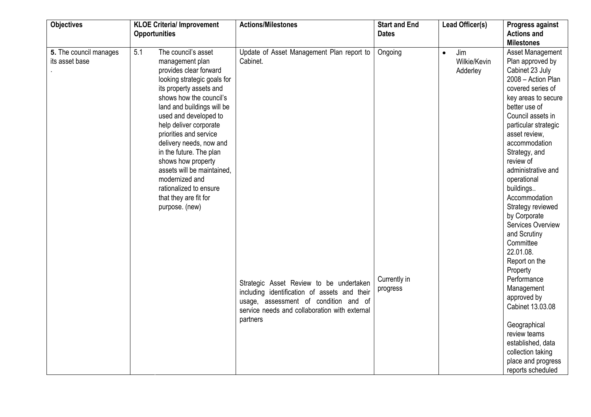| <b>Objectives</b>                        | <b>KLOE Criteria/ Improvement</b>                                                                                                                                                                                                                                                                                                                                                                                                                                        | <b>Actions/Milestones</b>                                                                                                                                                                                                                              | <b>Start and End</b>                | Lead Officer(s)                              | Progress against                                                                                                                                                                                                                                                                                                                                                                                                                                                                                                                                                                                      |
|------------------------------------------|--------------------------------------------------------------------------------------------------------------------------------------------------------------------------------------------------------------------------------------------------------------------------------------------------------------------------------------------------------------------------------------------------------------------------------------------------------------------------|--------------------------------------------------------------------------------------------------------------------------------------------------------------------------------------------------------------------------------------------------------|-------------------------------------|----------------------------------------------|-------------------------------------------------------------------------------------------------------------------------------------------------------------------------------------------------------------------------------------------------------------------------------------------------------------------------------------------------------------------------------------------------------------------------------------------------------------------------------------------------------------------------------------------------------------------------------------------------------|
|                                          | <b>Opportunities</b>                                                                                                                                                                                                                                                                                                                                                                                                                                                     |                                                                                                                                                                                                                                                        | <b>Dates</b>                        |                                              | <b>Actions and</b>                                                                                                                                                                                                                                                                                                                                                                                                                                                                                                                                                                                    |
| 5. The council manages<br>its asset base | 5.1<br>The council's asset<br>management plan<br>provides clear forward<br>looking strategic goals for<br>its property assets and<br>shows how the council's<br>land and buildings will be<br>used and developed to<br>help deliver corporate<br>priorities and service<br>delivery needs, now and<br>in the future. The plan<br>shows how property<br>assets will be maintained,<br>modernized and<br>rationalized to ensure<br>that they are fit for<br>purpose. (new) | Update of Asset Management Plan report to<br>Cabinet.<br>Strategic Asset Review to be undertaken<br>including identification of assets and their<br>usage, assessment of condition and of<br>service needs and collaboration with external<br>partners | Ongoing<br>Currently in<br>progress | Jim<br>$\bullet$<br>Wilkie/Kevin<br>Adderley | <b>Milestones</b><br>Asset Management<br>Plan approved by<br>Cabinet 23 July<br>2008 - Action Plan<br>covered series of<br>key areas to secure<br>better use of<br>Council assets in<br>particular strategic<br>asset review,<br>accommodation<br>Strategy, and<br>review of<br>administrative and<br>operational<br>buildings<br>Accommodation<br>Strategy reviewed<br>by Corporate<br>Services Overview<br>and Scrutiny<br>Committee<br>22.01.08.<br>Report on the<br>Property<br>Performance<br>Management<br>approved by<br>Cabinet 13.03.08<br>Geographical<br>review teams<br>established, data |
|                                          |                                                                                                                                                                                                                                                                                                                                                                                                                                                                          |                                                                                                                                                                                                                                                        |                                     |                                              | collection taking<br>place and progress<br>reports scheduled                                                                                                                                                                                                                                                                                                                                                                                                                                                                                                                                          |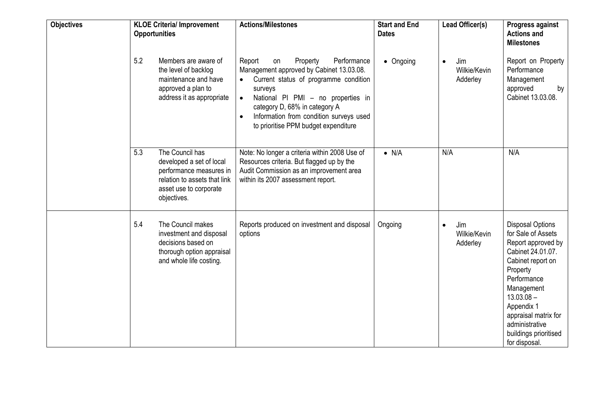| <b>Objectives</b> | <b>KLOE Criteria/ Improvement</b><br><b>Opportunities</b>                                                                                              | <b>Actions/Milestones</b>                                                                                                                                                                                                                                                                                      | <b>Start and End</b><br><b>Dates</b> | Lead Officer(s)                 | Progress against<br><b>Actions and</b><br><b>Milestones</b>                                                                                                                                                                                                              |
|-------------------|--------------------------------------------------------------------------------------------------------------------------------------------------------|----------------------------------------------------------------------------------------------------------------------------------------------------------------------------------------------------------------------------------------------------------------------------------------------------------------|--------------------------------------|---------------------------------|--------------------------------------------------------------------------------------------------------------------------------------------------------------------------------------------------------------------------------------------------------------------------|
|                   | 5.2<br>Members are aware of<br>the level of backlog<br>maintenance and have<br>approved a plan to<br>address it as appropriate                         | Property<br>Performance<br>Report<br>on<br>Management approved by Cabinet 13.03.08.<br>Current status of programme condition<br>surveys<br>National PI PMI - no properties in<br>$\bullet$<br>category D, 68% in category A<br>Information from condition surveys used<br>to prioritise PPM budget expenditure | • Ongoing                            | Jim<br>Wilkie/Kevin<br>Adderley | Report on Property<br>Performance<br>Management<br>approved<br>by<br>Cabinet 13.03.08.                                                                                                                                                                                   |
|                   | The Council has<br>5.3<br>developed a set of local<br>performance measures in<br>relation to assets that link<br>asset use to corporate<br>objectives. | Note: No longer a criteria within 2008 Use of<br>Resources criteria. But flagged up by the<br>Audit Commission as an improvement area<br>within its 2007 assessment report.                                                                                                                                    | $\bullet$ N/A                        | N/A                             | N/A                                                                                                                                                                                                                                                                      |
|                   | 5.4<br>The Council makes<br>investment and disposal<br>decisions based on<br>thorough option appraisal<br>and whole life costing.                      | Reports produced on investment and disposal<br>options                                                                                                                                                                                                                                                         | Ongoing                              | Jim<br>Wilkie/Kevin<br>Adderley | <b>Disposal Options</b><br>for Sale of Assets<br>Report approved by<br>Cabinet 24.01.07.<br>Cabinet report on<br>Property<br>Performance<br>Management<br>$13.03.08 -$<br>Appendix 1<br>appraisal matrix for<br>administrative<br>buildings prioritised<br>for disposal. |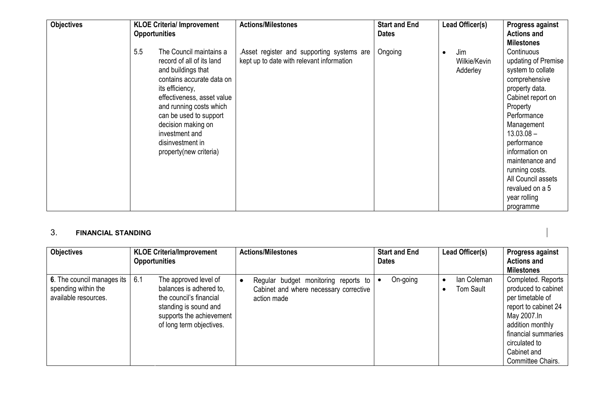| <b>Objectives</b> | <b>KLOE Criteria/ Improvement</b><br><b>Opportunities</b>                                                                                                                                                                                                                                                  | <b>Actions/Milestones</b>                                                              | <b>Start and End</b><br><b>Dates</b> | Lead Officer(s)                 | Progress against<br><b>Actions and</b><br><b>Milestones</b>                                                                                                                                                                                                                                                         |
|-------------------|------------------------------------------------------------------------------------------------------------------------------------------------------------------------------------------------------------------------------------------------------------------------------------------------------------|----------------------------------------------------------------------------------------|--------------------------------------|---------------------------------|---------------------------------------------------------------------------------------------------------------------------------------------------------------------------------------------------------------------------------------------------------------------------------------------------------------------|
|                   | 5.5<br>The Council maintains a<br>record of all of its land<br>and buildings that<br>contains accurate data on<br>its efficiency,<br>effectiveness, asset value<br>and running costs which<br>can be used to support<br>decision making on<br>investment and<br>disinvestment in<br>property(new criteria) | Asset register and supporting systems are<br>kept up to date with relevant information | Ongoing                              | Jim<br>Wilkie/Kevin<br>Adderley | Continuous<br>updating of Premise<br>system to collate<br>comprehensive<br>property data.<br>Cabinet report on<br>Property<br>Performance<br>Management<br>$13.03.08 -$<br>performance<br>information on<br>maintenance and<br>running costs.<br>All Council assets<br>revalued on a 5<br>year rolling<br>programme |

#### 3. FINANCIAL STANDING

| <b>Objectives</b>                                                         | <b>KLOE Criteria/Improvement</b><br><b>Opportunities</b>                                                                                                            | <b>Actions/Milestones</b>                                                                     | <b>Start and End</b><br><b>Dates</b> | Lead Officer(s)          | Progress against<br><b>Actions and</b><br><b>Milestones</b>                                                                                                                                          |
|---------------------------------------------------------------------------|---------------------------------------------------------------------------------------------------------------------------------------------------------------------|-----------------------------------------------------------------------------------------------|--------------------------------------|--------------------------|------------------------------------------------------------------------------------------------------------------------------------------------------------------------------------------------------|
| 6. The council manages its<br>spending within the<br>available resources. | 6.1<br>The approved level of<br>balances is adhered to,<br>the council's financial<br>standing is sound and<br>supports the achievement<br>of long term objectives. | Regular budget monitoring reports to<br>Cabinet and where necessary corrective<br>action made | On-going<br>$\bullet$                | lan Coleman<br>Tom Sault | Completed. Reports<br>produced to cabinet<br>per timetable of<br>report to cabinet 24<br>May 2007.In<br>addition monthly<br>financial summaries<br>circulated to<br>Cabinet and<br>Committee Chairs. |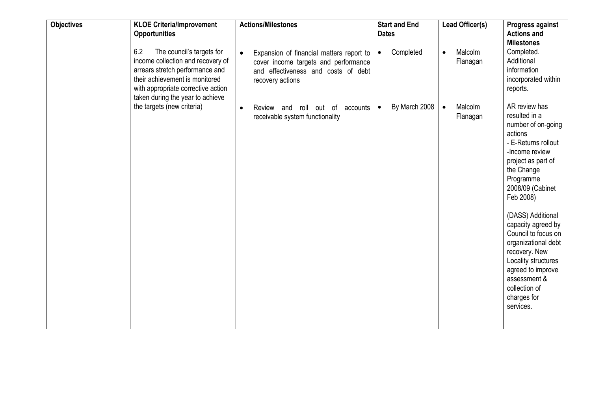| <b>Objectives</b> | <b>KLOE Criteria/Improvement</b><br><b>Opportunities</b>                                                                                                                                                             | <b>Actions/Milestones</b>                                                                                                                                | <b>Start and End</b><br><b>Dates</b> | Lead Officer(s)                  | Progress against<br><b>Actions and</b><br><b>Milestones</b>                                                                                                                                                                                                                                                                                                                                                   |
|-------------------|----------------------------------------------------------------------------------------------------------------------------------------------------------------------------------------------------------------------|----------------------------------------------------------------------------------------------------------------------------------------------------------|--------------------------------------|----------------------------------|---------------------------------------------------------------------------------------------------------------------------------------------------------------------------------------------------------------------------------------------------------------------------------------------------------------------------------------------------------------------------------------------------------------|
|                   | 6.2<br>The council's targets for<br>income collection and recovery of<br>arrears stretch performance and<br>their achievement is monitored<br>with appropriate corrective action<br>taken during the year to achieve | Expansion of financial matters report to<br>$\bullet$<br>cover income targets and performance<br>and effectiveness and costs of debt<br>recovery actions | Completed<br>$\bullet$               | Malcolm<br>$\bullet$<br>Flanagan | Completed.<br>Additional<br>information<br>incorporated within<br>reports.                                                                                                                                                                                                                                                                                                                                    |
|                   | the targets (new criteria)                                                                                                                                                                                           | Review and roll out of<br>accounts<br>$\bullet$<br>receivable system functionality                                                                       | By March 2008<br>$\bullet$           | Malcolm<br>Flanagan              | AR review has<br>resulted in a<br>number of on-going<br>actions<br>- E-Returns rollout<br>-Income review<br>project as part of<br>the Change<br>Programme<br>2008/09 (Cabinet<br>Feb 2008)<br>(DASS) Additional<br>capacity agreed by<br>Council to focus on<br>organizational debt<br>recovery. New<br>Locality structures<br>agreed to improve<br>assessment &<br>collection of<br>charges for<br>services. |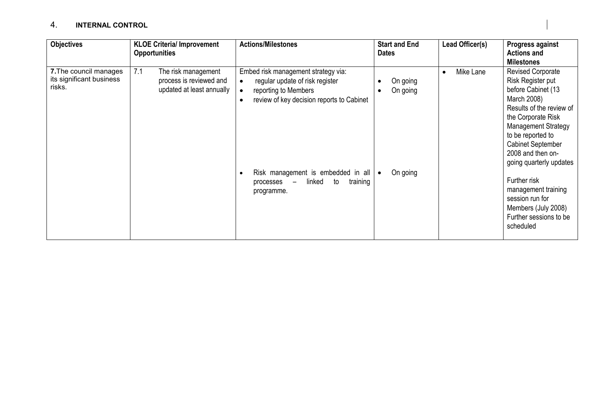#### 4. INTERNAL CONTROL

| <b>Objectives</b>                                            | <b>KLOE Criteria/ Improvement</b><br><b>Opportunities</b>                          | <b>Actions/Milestones</b>                                                                                                                                             | <b>Start and End</b><br><b>Dates</b> | Lead Officer(s) | Progress against<br><b>Actions and</b>                                                                                                                                                                                                                                                   |
|--------------------------------------------------------------|------------------------------------------------------------------------------------|-----------------------------------------------------------------------------------------------------------------------------------------------------------------------|--------------------------------------|-----------------|------------------------------------------------------------------------------------------------------------------------------------------------------------------------------------------------------------------------------------------------------------------------------------------|
| 7. The council manages<br>its significant business<br>risks. | 7.1<br>The risk management<br>process is reviewed and<br>updated at least annually | Embed risk management strategy via:<br>regular update of risk register<br>$\bullet$<br>reporting to Members<br>review of key decision reports to Cabinet<br>$\bullet$ | On going<br>On going                 | Mike Lane       | <b>Milestones</b><br><b>Revised Corporate</b><br>Risk Register put<br>before Cabinet (13<br>March 2008)<br>Results of the review of<br>the Corporate Risk<br><b>Management Strategy</b><br>to be reported to<br><b>Cabinet September</b><br>2008 and then on-<br>going quarterly updates |
|                                                              |                                                                                    | Risk management is embedded in all<br>$\bullet$<br>linked<br>to<br>training<br>processes<br>$\qquad \qquad =$<br>programme.                                           | On going                             |                 | Further risk<br>management training<br>session run for<br>Members (July 2008)<br>Further sessions to be<br>scheduled                                                                                                                                                                     |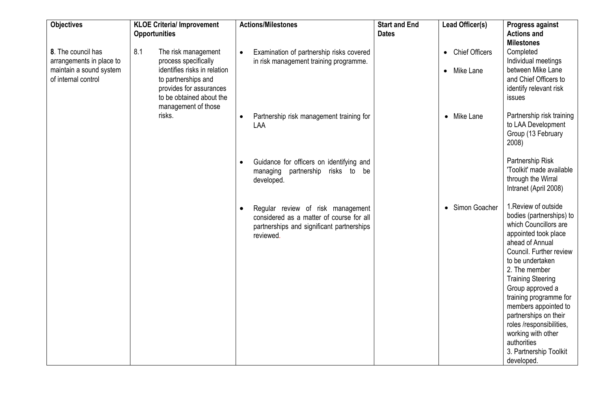| <b>Objectives</b>                                                                                | <b>KLOE Criteria/ Improvement</b><br><b>Opportunities</b>                                                                                                        | <b>Actions/Milestones</b>                                                                                                                            | <b>Start and End</b><br><b>Dates</b> | Lead Officer(s)                                              | Progress against<br><b>Actions and</b>                                                                                                                                                                                                                                                                                                                                                                                   |
|--------------------------------------------------------------------------------------------------|------------------------------------------------------------------------------------------------------------------------------------------------------------------|------------------------------------------------------------------------------------------------------------------------------------------------------|--------------------------------------|--------------------------------------------------------------|--------------------------------------------------------------------------------------------------------------------------------------------------------------------------------------------------------------------------------------------------------------------------------------------------------------------------------------------------------------------------------------------------------------------------|
| 8. The council has<br>arrangements in place to<br>maintain a sound system<br>of internal control | 8.1<br>The risk management<br>process specifically<br>identifies risks in relation<br>to partnerships and<br>provides for assurances<br>to be obtained about the | Examination of partnership risks covered<br>$\bullet$<br>in risk management training programme.                                                      |                                      | <b>Chief Officers</b><br>$\bullet$<br>Mike Lane<br>$\bullet$ | <b>Milestones</b><br>Completed<br>Individual meetings<br>between Mike Lane<br>and Chief Officers to<br>identify relevant risk<br>issues                                                                                                                                                                                                                                                                                  |
|                                                                                                  | management of those<br>risks.                                                                                                                                    | Partnership risk management training for<br>$\bullet$<br>LAA                                                                                         |                                      | • Mike Lane                                                  | Partnership risk training<br>to LAA Development<br>Group (13 February<br>2008)                                                                                                                                                                                                                                                                                                                                           |
|                                                                                                  |                                                                                                                                                                  | Guidance for officers on identifying and<br>$\bullet$<br>managing partnership risks to be<br>developed.                                              |                                      |                                                              | Partnership Risk<br>'Toolkit' made available<br>through the Wirral<br>Intranet (April 2008)                                                                                                                                                                                                                                                                                                                              |
|                                                                                                  |                                                                                                                                                                  | Regular review of risk management<br>$\bullet$<br>considered as a matter of course for all<br>partnerships and significant partnerships<br>reviewed. |                                      | Simon Goacher<br>$\bullet$                                   | 1. Review of outside<br>bodies (partnerships) to<br>which Councillors are<br>appointed took place<br>ahead of Annual<br>Council. Further review<br>to be undertaken<br>2. The member<br><b>Training Steering</b><br>Group approved a<br>training programme for<br>members appointed to<br>partnerships on their<br>roles /responsibilities,<br>working with other<br>authorities<br>3. Partnership Toolkit<br>developed. |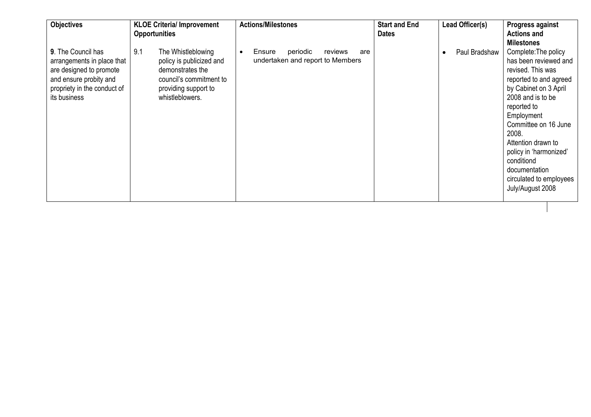| <b>Objectives</b>                                                                                                                                    | <b>KLOE Criteria/ Improvement</b><br><b>Opportunities</b>                                                                                       | <b>Actions/Milestones</b>                                                             | <b>Start and End</b><br><b>Dates</b> | Lead Officer(s) | Progress against<br><b>Actions and</b><br><b>Milestones</b>                                                                                                                                                                                                                                                                            |
|------------------------------------------------------------------------------------------------------------------------------------------------------|-------------------------------------------------------------------------------------------------------------------------------------------------|---------------------------------------------------------------------------------------|--------------------------------------|-----------------|----------------------------------------------------------------------------------------------------------------------------------------------------------------------------------------------------------------------------------------------------------------------------------------------------------------------------------------|
| 9. The Council has<br>arrangements in place that<br>are designed to promote<br>and ensure probity and<br>propriety in the conduct of<br>its business | 9.1<br>The Whistleblowing<br>policy is publicized and<br>demonstrates the<br>council's commitment to<br>providing support to<br>whistleblowers. | Ensure<br>periodic<br>reviews<br>are<br>$\bullet$<br>undertaken and report to Members |                                      | Paul Bradshaw   | Complete: The policy<br>has been reviewed and<br>revised. This was<br>reported to and agreed<br>by Cabinet on 3 April<br>2008 and is to be<br>reported to<br>Employment<br>Committee on 16 June<br>2008.<br>Attention drawn to<br>policy in 'harmonized'<br>conditiond<br>documentation<br>circulated to employees<br>July/August 2008 |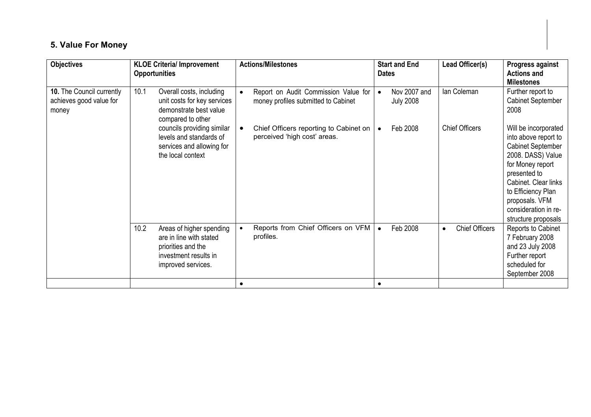# 5. Value For Money

| <b>Objectives</b>                                             | <b>KLOE Criteria/ Improvement</b><br><b>Opportunities</b> |                                                                                                        | <b>Actions/Milestones</b>                                                   | <b>Dates</b> | <b>Start and End</b>             | Lead Officer(s)       | Progress against<br><b>Actions and</b><br><b>Milestones</b>                                                                                                                                                                                      |
|---------------------------------------------------------------|-----------------------------------------------------------|--------------------------------------------------------------------------------------------------------|-----------------------------------------------------------------------------|--------------|----------------------------------|-----------------------|--------------------------------------------------------------------------------------------------------------------------------------------------------------------------------------------------------------------------------------------------|
| 10. The Council currently<br>achieves good value for<br>money | 10.1                                                      | Overall costs, including<br>unit costs for key services<br>demonstrate best value<br>compared to other | Report on Audit Commission Value for<br>money profiles submitted to Cabinet |              | Nov 2007 and<br><b>July 2008</b> | lan Coleman           | Further report to<br><b>Cabinet September</b><br>2008                                                                                                                                                                                            |
|                                                               | the local context                                         | councils providing similar<br>levels and standards of<br>services and allowing for                     | Chief Officers reporting to Cabinet on  <br>perceived 'high cost' areas.    |              | Feb 2008                         | <b>Chief Officers</b> | Will be incorporated<br>into above report to<br><b>Cabinet September</b><br>2008. DASS) Value<br>for Money report<br>presented to<br>Cabinet. Clear links<br>to Efficiency Plan<br>proposals. VFM<br>consideration in re-<br>structure proposals |
|                                                               | 10.2<br>priorities and the                                | Areas of higher spending<br>are in line with stated<br>investment results in<br>improved services.     | Reports from Chief Officers on VFM<br>profiles.                             |              | Feb 2008                         | <b>Chief Officers</b> | Reports to Cabinet<br>7 February 2008<br>and 23 July 2008<br>Further report<br>scheduled for<br>September 2008                                                                                                                                   |
|                                                               |                                                           |                                                                                                        |                                                                             | $\bullet$    |                                  |                       |                                                                                                                                                                                                                                                  |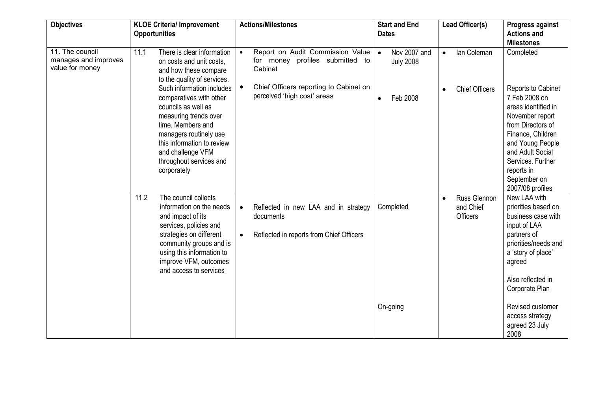| <b>Objectives</b>                                          | <b>KLOE Criteria/ Improvement</b><br><b>Opportunities</b>                                                                                                                                                                                                                     | <b>Actions/Milestones</b>                                                                                                                               | <b>Start and End</b><br><b>Dates</b>                                   | Lead Officer(s)                                   | Progress against<br><b>Actions and</b>                                                                                                                                |
|------------------------------------------------------------|-------------------------------------------------------------------------------------------------------------------------------------------------------------------------------------------------------------------------------------------------------------------------------|---------------------------------------------------------------------------------------------------------------------------------------------------------|------------------------------------------------------------------------|---------------------------------------------------|-----------------------------------------------------------------------------------------------------------------------------------------------------------------------|
| 11. The council<br>manages and improves<br>value for money | 11.1<br>There is clear information<br>on costs and unit costs.<br>and how these compare<br>to the quality of services.<br>Such information includes<br>comparatives with other<br>councils as well as<br>measuring trends over<br>time. Members and<br>managers routinely use | Report on Audit Commission Value<br>for money profiles submitted to<br>Cabinet<br>Chief Officers reporting to Cabinet on<br>perceived 'high cost' areas | Nov 2007 and<br>$\bullet$<br><b>July 2008</b><br>Feb 2008<br>$\bullet$ | lan Coleman<br>$\bullet$<br><b>Chief Officers</b> | <b>Milestones</b><br>Completed<br>Reports to Cabinet<br>7 Feb 2008 on<br>areas identified in<br>November report<br>from Directors of<br>Finance, Children             |
|                                                            | this information to review<br>and challenge VFM<br>throughout services and<br>corporately                                                                                                                                                                                     |                                                                                                                                                         |                                                                        |                                                   | and Young People<br>and Adult Social<br>Services. Further<br>reports in<br>September on<br>2007/08 profiles                                                           |
|                                                            | 11.2<br>The council collects<br>information on the needs<br>and impact of its<br>services, policies and<br>strategies on different<br>community groups and is<br>using this information to<br>improve VFM, outcomes<br>and access to services                                 | Reflected in new LAA and in strategy<br>$\bullet$<br>documents<br>Reflected in reports from Chief Officers<br>$\bullet$                                 | Completed                                                              | Russ Glennon<br>and Chief<br><b>Officers</b>      | New LAA with<br>priorities based on<br>business case with<br>input of LAA<br>partners of<br>priorities/needs and<br>a 'story of place'<br>agreed<br>Also reflected in |
|                                                            |                                                                                                                                                                                                                                                                               |                                                                                                                                                         | On-going                                                               |                                                   | Corporate Plan<br>Revised customer<br>access strategy<br>agreed 23 July<br>2008                                                                                       |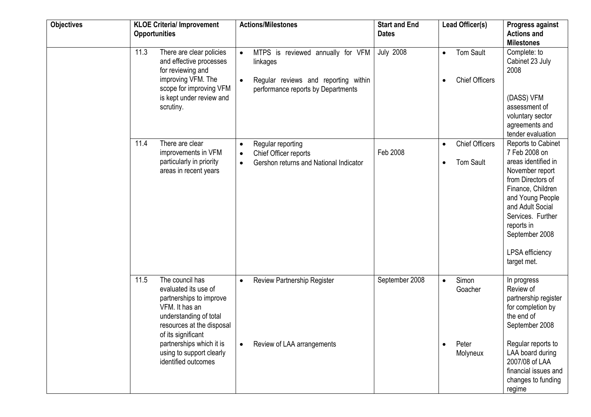| <b>Objectives</b> | <b>KLOE Criteria/ Improvement</b><br><b>Opportunities</b>                                                                                                                                                                                                | <b>Actions/Milestones</b>                                                                                                                             | <b>Start and End</b><br><b>Dates</b> | Lead Officer(s)                                                     | Progress against<br><b>Actions and</b><br><b>Milestones</b>                                                                                                                                                                                            |
|-------------------|----------------------------------------------------------------------------------------------------------------------------------------------------------------------------------------------------------------------------------------------------------|-------------------------------------------------------------------------------------------------------------------------------------------------------|--------------------------------------|---------------------------------------------------------------------|--------------------------------------------------------------------------------------------------------------------------------------------------------------------------------------------------------------------------------------------------------|
|                   | 11.3<br>There are clear policies<br>and effective processes<br>for reviewing and<br>improving VFM. The<br>scope for improving VFM<br>is kept under review and<br>scrutiny.                                                                               | MTPS is reviewed annually for VFM<br>$\bullet$<br>linkages<br>Regular reviews and reporting within<br>$\bullet$<br>performance reports by Departments | <b>July 2008</b>                     | <b>Tom Sault</b><br>$\bullet$<br><b>Chief Officers</b><br>$\bullet$ | Complete: to<br>Cabinet 23 July<br>2008<br>(DASS) VFM<br>assessment of<br>voluntary sector<br>agreements and<br>tender evaluation                                                                                                                      |
|                   | There are clear<br>11.4<br>improvements in VFM<br>particularly in priority<br>areas in recent years                                                                                                                                                      | Regular reporting<br>$\bullet$<br>Chief Officer reports<br>$\bullet$<br>Gershon returns and National Indicator<br>$\bullet$                           | Feb 2008                             | <b>Chief Officers</b><br>$\bullet$<br><b>Tom Sault</b><br>$\bullet$ | Reports to Cabinet<br>7 Feb 2008 on<br>areas identified in<br>November report<br>from Directors of<br>Finance, Children<br>and Young People<br>and Adult Social<br>Services. Further<br>reports in<br>September 2008<br>LPSA efficiency<br>target met. |
|                   | The council has<br>11.5<br>evaluated its use of<br>partnerships to improve<br>VFM. It has an<br>understanding of total<br>resources at the disposal<br>of its significant<br>partnerships which it is<br>using to support clearly<br>identified outcomes | Review Partnership Register<br>$\bullet$<br>Review of LAA arrangements                                                                                | September 2008                       | Simon<br>$\bullet$<br>Goacher<br>Peter<br>$\bullet$<br>Molyneux     | In progress<br>Review of<br>partnership register<br>for completion by<br>the end of<br>September 2008<br>Regular reports to<br>LAA board during<br>2007/08 of LAA<br>financial issues and<br>changes to funding<br>regime                              |